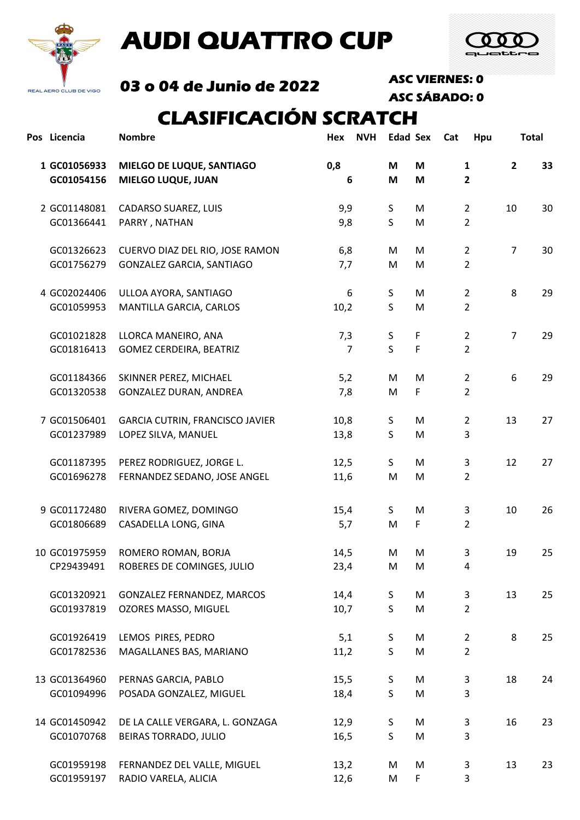

# AUDI QUATTRO CUP



03 o 04 de Junio de 2022 ASC VIERNES: 0

ASC SÁBADO: 0

### CLASIFICACIÓN SCRATCH

| Pos Licencia               | <b>Nombre</b>                                          | <b>NVH</b><br>Hex |              | <b>Edad Sex</b> | Cat<br>Hpu                   |                | <b>Total</b> |
|----------------------------|--------------------------------------------------------|-------------------|--------------|-----------------|------------------------------|----------------|--------------|
| 1 GC01056933<br>GC01054156 | MIELGO DE LUQUE, SANTIAGO<br><b>MIELGO LUQUE, JUAN</b> | 0,8<br>6          | M<br>M       | M<br>M          | $\mathbf{1}$<br>$\mathbf{2}$ | $\overline{2}$ | 33           |
| 2 GC01148081               | CADARSO SUAREZ, LUIS                                   | 9,9               | $\sf S$      | M               | $\overline{2}$               | 10             | 30           |
| GC01366441                 | PARRY, NATHAN                                          | 9,8               | $\mathsf{S}$ | M               | $\overline{2}$               |                |              |
| GC01326623                 | CUERVO DIAZ DEL RIO, JOSE RAMON                        | 6,8               | M            | M               | $\overline{2}$               | $\overline{7}$ | 30           |
| GC01756279                 | GONZALEZ GARCIA, SANTIAGO                              | 7,7               | M            | M               | $\overline{2}$               |                |              |
| 4 GC02024406               | ULLOA AYORA, SANTIAGO                                  | 6                 | S            | M               | $\overline{2}$               | 8              | 29           |
| GC01059953                 | MANTILLA GARCIA, CARLOS                                | 10,2              | $\sf S$      | M               | $\overline{2}$               |                |              |
| GC01021828                 | LLORCA MANEIRO, ANA                                    | 7,3               | S            | $\mathsf F$     | $\overline{2}$               | $\overline{7}$ | 29           |
| GC01816413                 | <b>GOMEZ CERDEIRA, BEATRIZ</b>                         | $\overline{7}$    | $\mathsf{S}$ | F               | $\overline{2}$               |                |              |
| GC01184366                 | SKINNER PEREZ, MICHAEL                                 | 5,2               | M            | M               | $\overline{2}$               | 6              | 29           |
| GC01320538                 | GONZALEZ DURAN, ANDREA                                 | 7,8               | M            | F               | $\overline{2}$               |                |              |
| 7 GC01506401               | GARCIA CUTRIN, FRANCISCO JAVIER                        | 10,8              | S            | ${\sf M}$       | $\overline{2}$               | 13             | 27           |
| GC01237989                 | LOPEZ SILVA, MANUEL                                    | 13,8              | S            | M               | 3                            |                |              |
| GC01187395                 | PEREZ RODRIGUEZ, JORGE L.                              | 12,5              | S            | M               | 3                            | 12             | 27           |
| GC01696278                 | FERNANDEZ SEDANO, JOSE ANGEL                           | 11,6              | M            | M               | $\overline{2}$               |                |              |
| 9 GC01172480               | RIVERA GOMEZ, DOMINGO                                  | 15,4              | S            | M               | 3                            | 10             | 26           |
| GC01806689                 | CASADELLA LONG, GINA                                   | 5,7               | M            | F               | $\overline{2}$               |                |              |
| 10 GC01975959              | ROMERO ROMAN, BORJA                                    | 14,5              | M            | M               | 3                            | 19             | 25           |
| CP29439491                 | ROBERES DE COMINGES, JULIO                             | 23,4              | M            | M               | 4                            |                |              |
| GC01320921                 | GONZALEZ FERNANDEZ, MARCOS                             | 14,4              | S            | M               | 3                            | 13             | 25           |
| GC01937819                 | OZORES MASSO, MIGUEL                                   | 10,7              | S            | M               | $\overline{2}$               |                |              |
| GC01926419                 | LEMOS PIRES, PEDRO                                     | 5,1               | S            | M               | $\overline{2}$               | 8              | 25           |
| GC01782536                 | MAGALLANES BAS, MARIANO                                | 11,2              | S            | M               | $\overline{2}$               |                |              |
| 13 GC01364960              | PERNAS GARCIA, PABLO                                   | 15,5              | S            | M               | 3                            | 18             | 24           |
| GC01094996                 | POSADA GONZALEZ, MIGUEL                                | 18,4              | S            | M               | 3                            |                |              |
| 14 GC01450942              | DE LA CALLE VERGARA, L. GONZAGA                        | 12,9              | $\mathsf S$  | M               | 3                            | 16             | 23           |
| GC01070768                 | BEIRAS TORRADO, JULIO                                  | 16,5              | S            | M               | 3                            |                |              |
| GC01959198                 | FERNANDEZ DEL VALLE, MIGUEL                            | 13,2              | M            | M               | 3                            | 13             | 23           |
| GC01959197                 | RADIO VARELA, ALICIA                                   | 12,6              | M            | F               | 3                            |                |              |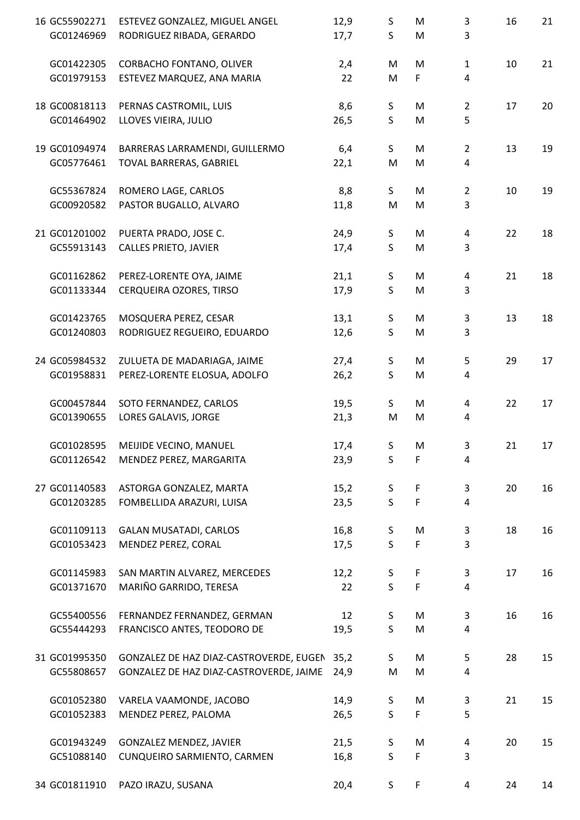| 16 GC55902271 | ESTEVEZ GONZALEZ, MIGUEL ANGEL               | 12,9 | S            | M           | 3              | 16 | 21 |
|---------------|----------------------------------------------|------|--------------|-------------|----------------|----|----|
| GC01246969    | RODRIGUEZ RIBADA, GERARDO                    | 17,7 | S            | M           | 3              |    |    |
| GC01422305    | CORBACHO FONTANO, OLIVER                     | 2,4  | M            | M           | $\mathbf{1}$   | 10 | 21 |
| GC01979153    | ESTEVEZ MARQUEZ, ANA MARIA                   | 22   | M            | F.          | 4              |    |    |
| 18 GC00818113 | PERNAS CASTROMIL, LUIS                       | 8,6  | S            | M           | $\overline{2}$ | 17 | 20 |
| GC01464902    | LLOVES VIEIRA, JULIO                         | 26,5 | $\mathsf{S}$ | M           | 5              |    |    |
| 19 GC01094974 | BARRERAS LARRAMENDI, GUILLERMO               | 6,4  | S            | M           | $\overline{2}$ | 13 | 19 |
| GC05776461    | TOVAL BARRERAS, GABRIEL                      | 22,1 | M            | M           | 4              |    |    |
| GC55367824    | ROMERO LAGE, CARLOS                          | 8,8  | S            | M           | $\overline{2}$ | 10 | 19 |
| GC00920582    | PASTOR BUGALLO, ALVARO                       | 11,8 | M            | M           | 3              |    |    |
| 21 GC01201002 | PUERTA PRADO, JOSE C.                        | 24,9 | S            | M           | 4              | 22 | 18 |
| GC55913143    | <b>CALLES PRIETO, JAVIER</b>                 | 17,4 | $\mathsf{S}$ | M           | 3              |    |    |
| GC01162862    | PEREZ-LORENTE OYA, JAIME                     | 21,1 | S            | M           | 4              | 21 | 18 |
| GC01133344    | CERQUEIRA OZORES, TIRSO                      | 17,9 | $\mathsf{S}$ | M           | 3              |    |    |
| GC01423765    | MOSQUERA PEREZ, CESAR                        | 13,1 | S            | M           | 3              | 13 | 18 |
| GC01240803    | RODRIGUEZ REGUEIRO, EDUARDO                  | 12,6 | $\mathsf S$  | M           | 3              |    |    |
| 24 GC05984532 | ZULUETA DE MADARIAGA, JAIME                  | 27,4 | S            | M           | 5              | 29 | 17 |
| GC01958831    | PEREZ-LORENTE ELOSUA, ADOLFO                 | 26,2 | S            | M           | 4              |    |    |
| GC00457844    | SOTO FERNANDEZ, CARLOS                       | 19,5 | S.           | M           | 4              | 22 | 17 |
| GC01390655    | LORES GALAVIS, JORGE                         | 21,3 | M            | M           | 4              |    |    |
| GC01028595    | MEIJIDE VECINO, MANUEL                       | 17,4 | S            | M           | 3              | 21 | 17 |
| GC01126542    | MENDEZ PEREZ, MARGARITA                      | 23,9 | S            | $\mathsf F$ | 4              |    |    |
| 27 GC01140583 | ASTORGA GONZALEZ, MARTA                      | 15,2 | S            | F           | 3              | 20 | 16 |
| GC01203285    | FOMBELLIDA ARAZURI, LUISA                    | 23,5 | $\mathsf{S}$ | $\mathsf F$ | 4              |    |    |
| GC01109113    | <b>GALAN MUSATADI, CARLOS</b>                | 16,8 | $\mathsf S$  | M           | 3              | 18 | 16 |
| GC01053423    | MENDEZ PEREZ, CORAL                          | 17,5 | $\mathsf{S}$ | F           | 3              |    |    |
| GC01145983    | SAN MARTIN ALVAREZ, MERCEDES                 | 12,2 | S            | F           | 3              | 17 | 16 |
| GC01371670    | MARIÑO GARRIDO, TERESA                       | 22   | $\mathsf{S}$ | F           | 4              |    |    |
| GC55400556    | FERNANDEZ FERNANDEZ, GERMAN                  | 12   | S            | M           | 3              | 16 | 16 |
| GC55444293    | FRANCISCO ANTES, TEODORO DE                  | 19,5 | $\mathsf{S}$ | M           | 4              |    |    |
| 31 GC01995350 | GONZALEZ DE HAZ DIAZ-CASTROVERDE, EUGEN 35,2 |      | S            | M           | 5              | 28 | 15 |
| GC55808657    | GONZALEZ DE HAZ DIAZ-CASTROVERDE, JAIME      | 24,9 | M            | M           | 4              |    |    |
| GC01052380    | VARELA VAAMONDE, JACOBO                      | 14,9 | S            | M           | 3              | 21 | 15 |
| GC01052383    | MENDEZ PEREZ, PALOMA                         | 26,5 | $\mathsf{S}$ | F           | 5              |    |    |
| GC01943249    | GONZALEZ MENDEZ, JAVIER                      | 21,5 | S            | M           | 4              | 20 | 15 |
| GC51088140    | CUNQUEIRO SARMIENTO, CARMEN                  | 16,8 | $\mathsf{S}$ | F           | 3              |    |    |
| 34 GC01811910 | PAZO IRAZU, SUSANA                           | 20,4 | S.           | F.          | 4              | 24 | 14 |
|               |                                              |      |              |             |                |    |    |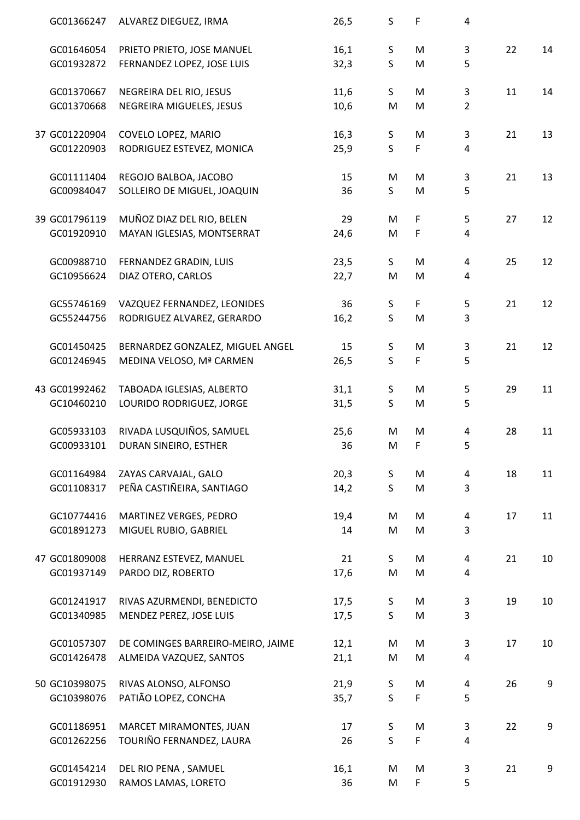| GC01366247    | ALVAREZ DIEGUEZ, IRMA             | 26,5 | S            | F  | 4              |    |    |
|---------------|-----------------------------------|------|--------------|----|----------------|----|----|
| GC01646054    | PRIETO PRIETO, JOSE MANUEL        | 16,1 | $\mathsf S$  | M  | 3              | 22 | 14 |
| GC01932872    | FERNANDEZ LOPEZ, JOSE LUIS        | 32,3 | $\mathsf{S}$ | M  | 5              |    |    |
|               |                                   |      |              |    |                |    |    |
| GC01370667    | NEGREIRA DEL RIO, JESUS           | 11,6 | S            | M  | 3              | 11 | 14 |
| GC01370668    | NEGREIRA MIGUELES, JESUS          | 10,6 | ${\sf M}$    | M  | $\overline{2}$ |    |    |
|               |                                   |      |              |    |                |    |    |
| 37 GC01220904 | COVELO LOPEZ, MARIO               | 16,3 | S            | M  | 3              | 21 | 13 |
| GC01220903    | RODRIGUEZ ESTEVEZ, MONICA         | 25,9 | $\mathsf{S}$ | F  | 4              |    |    |
| GC01111404    | REGOJO BALBOA, JACOBO             | 15   | M            | M  | 3              | 21 | 13 |
| GC00984047    | SOLLEIRO DE MIGUEL, JOAQUIN       | 36   | $\mathsf{S}$ | M  | 5              |    |    |
| 39 GC01796119 |                                   |      |              |    |                |    |    |
|               | MUÑOZ DIAZ DEL RIO, BELEN         | 29   | M            | F  | 5              | 27 | 12 |
| GC01920910    | MAYAN IGLESIAS, MONTSERRAT        | 24,6 | M            | F  | 4              |    |    |
| GC00988710    | FERNANDEZ GRADIN, LUIS            | 23,5 | S            | M  | 4              | 25 | 12 |
| GC10956624    | DIAZ OTERO, CARLOS                | 22,7 | M            | M  | 4              |    |    |
|               |                                   |      |              |    |                |    |    |
| GC55746169    | VAZQUEZ FERNANDEZ, LEONIDES       | 36   | S            | F. | 5              | 21 | 12 |
| GC55244756    | RODRIGUEZ ALVAREZ, GERARDO        | 16,2 | $\mathsf{S}$ | M  | 3              |    |    |
| GC01450425    | BERNARDEZ GONZALEZ, MIGUEL ANGEL  | 15   | $\mathsf S$  | M  | 3              | 21 | 12 |
| GC01246945    | MEDINA VELOSO, Mª CARMEN          | 26,5 | $\mathsf{S}$ | F  | 5              |    |    |
| 43 GC01992462 | TABOADA IGLESIAS, ALBERTO         | 31,1 | S            | M  | 5              | 29 | 11 |
| GC10460210    | LOURIDO RODRIGUEZ, JORGE          | 31,5 | $\mathsf{S}$ | M  | 5              |    |    |
|               |                                   |      |              |    |                |    |    |
| GC05933103    | RIVADA LUSQUIÑOS, SAMUEL          | 25,6 | M            | M  | 4              | 28 | 11 |
| GC00933101    | DURAN SINEIRO, ESTHER             | 36   | M            | F  | 5              |    |    |
| GC01164984    | ZAYAS CARVAJAL, GALO              | 20,3 | S            | M  | 4              | 18 | 11 |
| GC01108317    | PEÑA CASTIÑEIRA, SANTIAGO         | 14,2 | $\mathsf{S}$ | M  | 3              |    |    |
|               |                                   |      |              |    |                |    |    |
| GC10774416    | MARTINEZ VERGES, PEDRO            | 19,4 | M            | M  | 4              | 17 | 11 |
| GC01891273    | MIGUEL RUBIO, GABRIEL             | 14   | M            | M  | 3              |    |    |
| 47 GC01809008 | HERRANZ ESTEVEZ, MANUEL           | 21   | S.           | M  | 4              | 21 | 10 |
| GC01937149    | PARDO DIZ, ROBERTO                | 17,6 | M            | M  | 4              |    |    |
|               |                                   |      |              |    |                |    |    |
| GC01241917    | RIVAS AZURMENDI, BENEDICTO        | 17,5 | S            | M  | 3              | 19 | 10 |
| GC01340985    | MENDEZ PEREZ, JOSE LUIS           | 17,5 | $\mathsf{S}$ | M  | 3              |    |    |
|               |                                   |      |              |    |                |    |    |
| GC01057307    | DE COMINGES BARREIRO-MEIRO, JAIME | 12,1 | M            | M  | 3              | 17 | 10 |
| GC01426478    | ALMEIDA VAZQUEZ, SANTOS           | 21,1 | M            | M  | 4              |    |    |
| 50 GC10398075 | RIVAS ALONSO, ALFONSO             | 21,9 | S            | M  | 4              | 26 | 9  |
| GC10398076    | PATIÃO LOPEZ, CONCHA              | 35,7 | $\mathsf{S}$ | F  | 5              |    |    |
| GC01186951    | MARCET MIRAMONTES, JUAN           | 17   | S            | M  | 3              | 22 | 9  |
| GC01262256    | TOURIÑO FERNANDEZ, LAURA          | 26   | $\mathsf{S}$ | F  | 4              |    |    |
|               |                                   |      |              |    |                |    |    |
| GC01454214    | DEL RIO PENA, SAMUEL              | 16,1 | M            | M  | 3              | 21 | 9  |
| GC01912930    | RAMOS LAMAS, LORETO               | 36   | M            | F  | 5              |    |    |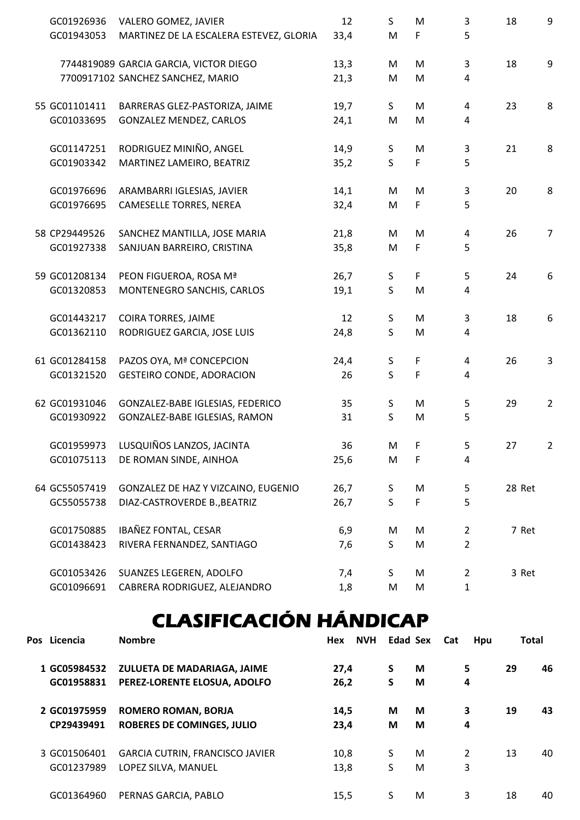| GC01926936    | VALERO GOMEZ, JAVIER                    | 12   | S            | M           | 3              | 18     | 9              |
|---------------|-----------------------------------------|------|--------------|-------------|----------------|--------|----------------|
| GC01943053    | MARTINEZ DE LA ESCALERA ESTEVEZ, GLORIA | 33,4 | M            | F           | 5              |        |                |
|               | 7744819089 GARCIA GARCIA, VICTOR DIEGO  | 13,3 | M            | M           | 3              | 18     | 9              |
|               | 7700917102 SANCHEZ SANCHEZ, MARIO       | 21,3 | M            | M           | 4              |        |                |
| 55 GC01101411 | BARRERAS GLEZ-PASTORIZA, JAIME          | 19,7 | S            | M           | 4              | 23     | 8              |
| GC01033695    | <b>GONZALEZ MENDEZ, CARLOS</b>          | 24,1 | M            | M           | 4              |        |                |
| GC01147251    | RODRIGUEZ MINIÑO, ANGEL                 | 14,9 | $\mathsf S$  | M           | 3              | 21     | 8              |
| GC01903342    | MARTINEZ LAMEIRO, BEATRIZ               | 35,2 | $\mathsf{S}$ | F           | 5              |        |                |
| GC01976696    | ARAMBARRI IGLESIAS, JAVIER              | 14,1 | M            | M           | 3              | 20     | 8              |
| GC01976695    | CAMESELLE TORRES, NEREA                 | 32,4 | M            | F           | 5              |        |                |
| 58 CP29449526 | SANCHEZ MANTILLA, JOSE MARIA            | 21,8 | M            | M           | 4              | 26     | $\overline{7}$ |
| GC01927338    | SANJUAN BARREIRO, CRISTINA              | 35,8 | M            | F           | 5              |        |                |
| 59 GC01208134 | PEON FIGUEROA, ROSA Mª                  | 26,7 | $\mathsf S$  | F           | 5              | 24     | 6              |
| GC01320853    | MONTENEGRO SANCHIS, CARLOS              | 19,1 | $\mathsf{S}$ | M           | 4              |        |                |
| GC01443217    | COIRA TORRES, JAIME                     | 12   | $\mathsf S$  | M           | 3              | 18     | 6              |
| GC01362110    | RODRIGUEZ GARCIA, JOSE LUIS             | 24,8 | $\mathsf{S}$ | M           | 4              |        |                |
| 61 GC01284158 | PAZOS OYA, Mª CONCEPCION                | 24,4 | S            | $\mathsf F$ | 4              | 26     | 3              |
| GC01321520    | <b>GESTEIRO CONDE, ADORACION</b>        | 26   | $\mathsf{S}$ | $\mathsf F$ | 4              |        |                |
| 62 GC01931046 | GONZALEZ-BABE IGLESIAS, FEDERICO        | 35   | S            | M           | 5              | 29     | $\overline{2}$ |
| GC01930922    | GONZALEZ-BABE IGLESIAS, RAMON           | 31   | $\mathsf{S}$ | M           | 5              |        |                |
|               | GC01959973 LUSQUIÑOS LANZOS, JACINTA    | 36   | M            | F.          | 5              | 27     | $\overline{2}$ |
| GC01075113    | DE ROMAN SINDE, AINHOA                  | 25,6 | M            | F           | 4              |        |                |
| 64 GC55057419 | GONZALEZ DE HAZ Y VIZCAINO, EUGENIO     | 26,7 | S            | M           | 5              | 28 Ret |                |
| GC55055738    | DIAZ-CASTROVERDE B., BEATRIZ            | 26,7 | S            | F           | 5              |        |                |
| GC01750885    | IBAÑEZ FONTAL, CESAR                    | 6,9  | M            | M           | $\overline{2}$ | 7 Ret  |                |
| GC01438423    | RIVERA FERNANDEZ, SANTIAGO              | 7,6  | S            | M           | $\overline{2}$ |        |                |
| GC01053426    | SUANZES LEGEREN, ADOLFO                 | 7,4  | S            | M           | $\overline{2}$ | 3 Ret  |                |
| GC01096691    | CABRERA RODRIGUEZ, ALEJANDRO            | 1,8  | M            | M           | $\mathbf{1}$   |        |                |

## CLASIFICACIÓN HÁNDICAP

| Pos Licencia | <b>Nombre</b>                          | <b>NVH</b><br>Hex |   | <b>Edad Sex</b> | Cat<br>Hpu |    | <b>Total</b> |
|--------------|----------------------------------------|-------------------|---|-----------------|------------|----|--------------|
| 1 GC05984532 | ZULUETA DE MADARIAGA, JAIME            | 27,4              | S | M               | 5          | 29 | 46           |
| GC01958831   | PEREZ-LORENTE ELOSUA, ADOLFO           | 26,2              | S | M               | 4          |    |              |
| 2 GC01975959 | <b>ROMERO ROMAN, BORJA</b>             | 14,5              | M | M               | 3          | 19 | 43           |
| CP29439491   | <b>ROBERES DE COMINGES, JULIO</b>      | 23,4              | M | M               | 4          |    |              |
| 3 GC01506401 | <b>GARCIA CUTRIN, FRANCISCO JAVIER</b> | 10,8              | S | M               | 2          | 13 | 40           |
| GC01237989   | LOPEZ SILVA, MANUEL                    | 13,8              | S | M               | 3          |    |              |
| GC01364960   | PERNAS GARCIA, PABLO                   | 15,5              | S | M               | 3          | 18 | 40           |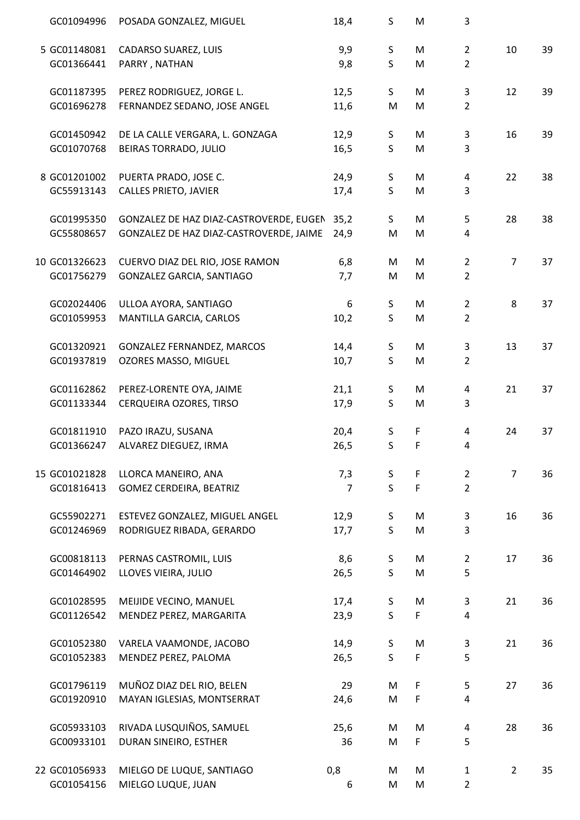| GC01094996    | POSADA GONZALEZ, MIGUEL                      | 18,4           | S            | M            | 3              |                |    |
|---------------|----------------------------------------------|----------------|--------------|--------------|----------------|----------------|----|
| 5 GC01148081  | CADARSO SUAREZ, LUIS                         | 9,9            | S            | M            | $\overline{2}$ | 10             | 39 |
| GC01366441    | PARRY, NATHAN                                | 9,8            | $\mathsf{S}$ | ${\sf M}$    | $\overline{2}$ |                |    |
| GC01187395    | PEREZ RODRIGUEZ, JORGE L.                    | 12,5           | S            | M            | 3              | 12             | 39 |
| GC01696278    | FERNANDEZ SEDANO, JOSE ANGEL                 | 11,6           | ${\sf M}$    | M            | $\overline{2}$ |                |    |
| GC01450942    | DE LA CALLE VERGARA, L. GONZAGA              | 12,9           | S            | M            | 3              | 16             | 39 |
| GC01070768    | BEIRAS TORRADO, JULIO                        | 16,5           | $\mathsf{S}$ | M            | 3              |                |    |
| 8 GC01201002  | PUERTA PRADO, JOSE C.                        | 24,9           | S            | M            | 4              | 22             | 38 |
| GC55913143    | <b>CALLES PRIETO, JAVIER</b>                 | 17,4           | $\mathsf{S}$ | M            | 3              |                |    |
| GC01995350    | GONZALEZ DE HAZ DIAZ-CASTROVERDE, EUGEN 35,2 |                | S            | M            | 5              | 28             | 38 |
| GC55808657    | GONZALEZ DE HAZ DIAZ-CASTROVERDE, JAIME      | 24,9           | M            | M            | 4              |                |    |
| 10 GC01326623 | CUERVO DIAZ DEL RIO, JOSE RAMON              | 6,8            | M            | M            | $\overline{2}$ | $\overline{7}$ | 37 |
| GC01756279    | GONZALEZ GARCIA, SANTIAGO                    | 7,7            | M            | M            | $\overline{2}$ |                |    |
| GC02024406    | ULLOA AYORA, SANTIAGO                        | 6              | S            | M            | $\overline{2}$ | 8              | 37 |
| GC01059953    | MANTILLA GARCIA, CARLOS                      | 10,2           | $\mathsf{S}$ | M            | $\overline{2}$ |                |    |
| GC01320921    | GONZALEZ FERNANDEZ, MARCOS                   | 14,4           | S            | M            | 3              | 13             | 37 |
| GC01937819    | OZORES MASSO, MIGUEL                         | 10,7           | $\mathsf{S}$ | M            | $\overline{2}$ |                |    |
| GC01162862    | PEREZ-LORENTE OYA, JAIME                     | 21,1           | S            | M            | 4              | 21             | 37 |
| GC01133344    | CERQUEIRA OZORES, TIRSO                      | 17,9           | $\mathsf{S}$ | M            | 3              |                |    |
| GC01811910    | PAZO IRAZU, SUSANA                           | 20,4           | S            | F            | 4              | 24             | 37 |
| GC01366247    | ALVAREZ DIEGUEZ, IRMA                        | 26,5           | S            | F            | 4              |                |    |
| 15 GC01021828 | LLORCA MANEIRO, ANA                          | 7,3            | S            | F            | $\overline{2}$ | $\overline{7}$ | 36 |
| GC01816413    | <b>GOMEZ CERDEIRA, BEATRIZ</b>               | $\overline{7}$ | $\mathsf{S}$ | $\mathsf{F}$ | $\overline{2}$ |                |    |
| GC55902271    | ESTEVEZ GONZALEZ, MIGUEL ANGEL               | 12,9           | S            | M            | 3              | 16             | 36 |
| GC01246969    | RODRIGUEZ RIBADA, GERARDO                    | 17,7           | S            | M            | 3              |                |    |
| GC00818113    | PERNAS CASTROMIL, LUIS                       | 8,6            | S            | M            | $\overline{2}$ | 17             | 36 |
| GC01464902    | LLOVES VIEIRA, JULIO                         | 26,5           | $\mathsf{S}$ | M            | 5              |                |    |
| GC01028595    | MEIJIDE VECINO, MANUEL                       | 17,4           | S            | M            | 3              | 21             | 36 |
| GC01126542    | MENDEZ PEREZ, MARGARITA                      | 23,9           | $\mathsf{S}$ | F.           | 4              |                |    |
| GC01052380    | VARELA VAAMONDE, JACOBO                      | 14,9           | $\mathsf S$  | M            | 3              | 21             | 36 |
| GC01052383    | MENDEZ PEREZ, PALOMA                         | 26,5           | $\mathsf{S}$ | F            | 5              |                |    |
| GC01796119    | MUÑOZ DIAZ DEL RIO, BELEN                    | 29             | M            | F            | 5              | 27             | 36 |
| GC01920910    | MAYAN IGLESIAS, MONTSERRAT                   | 24,6           | M            | F            | 4              |                |    |
| GC05933103    | RIVADA LUSQUIÑOS, SAMUEL                     | 25,6           | M            | M            | 4              | 28             | 36 |
| GC00933101    | DURAN SINEIRO, ESTHER                        | 36             | M            | F.           | 5              |                |    |
| 22 GC01056933 | MIELGO DE LUQUE, SANTIAGO                    | 0,8            | M            | M            | $\mathbf{1}$   | $\overline{2}$ | 35 |
| GC01054156    | MIELGO LUQUE, JUAN                           | 6              | M            | M            | $\overline{2}$ |                |    |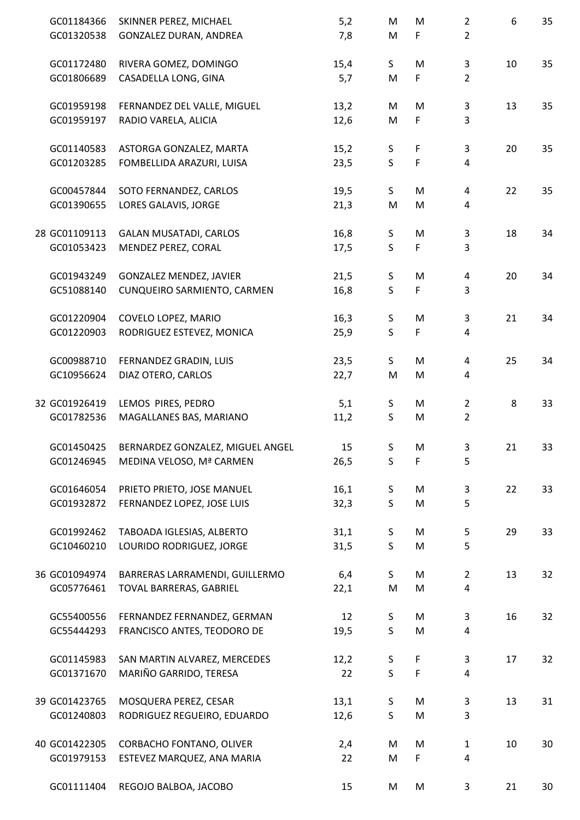| GC01184366    | SKINNER PEREZ, MICHAEL           | 5,2  | M            | M         | $\overline{2}$ | 6  | 35 |
|---------------|----------------------------------|------|--------------|-----------|----------------|----|----|
| GC01320538    | GONZALEZ DURAN, ANDREA           | 7,8  | M            | F         | $\overline{2}$ |    |    |
| GC01172480    | RIVERA GOMEZ, DOMINGO            | 15,4 | $\mathsf{S}$ | ${\sf M}$ | 3              | 10 | 35 |
| GC01806689    | CASADELLA LONG, GINA             | 5,7  | M            | F         | $\overline{2}$ |    |    |
| GC01959198    | FERNANDEZ DEL VALLE, MIGUEL      | 13,2 | M            | M         | 3              | 13 | 35 |
| GC01959197    | RADIO VARELA, ALICIA             | 12,6 | M            | F         | 3              |    |    |
| GC01140583    | ASTORGA GONZALEZ, MARTA          | 15,2 | S            | F         | 3              | 20 | 35 |
| GC01203285    | FOMBELLIDA ARAZURI, LUISA        | 23,5 | $\sf S$      | F         | 4              |    |    |
| GC00457844    | SOTO FERNANDEZ, CARLOS           | 19,5 | S            | M         | 4              | 22 | 35 |
| GC01390655    | LORES GALAVIS, JORGE             | 21,3 | M            | M         | 4              |    |    |
| 28 GC01109113 | <b>GALAN MUSATADI, CARLOS</b>    | 16,8 | $\sf S$      | M         | 3              | 18 | 34 |
| GC01053423    | MENDEZ PEREZ, CORAL              | 17,5 | $\mathsf S$  | F         | 3              |    |    |
| GC01943249    | <b>GONZALEZ MENDEZ, JAVIER</b>   | 21,5 | S            | M         | 4              | 20 | 34 |
| GC51088140    | CUNQUEIRO SARMIENTO, CARMEN      | 16,8 | $\mathsf S$  | F         | 3              |    |    |
| GC01220904    | COVELO LOPEZ, MARIO              | 16,3 | S            | M         | 3              | 21 | 34 |
| GC01220903    | RODRIGUEZ ESTEVEZ, MONICA        | 25,9 | $\mathsf S$  | F         | 4              |    |    |
| GC00988710    | FERNANDEZ GRADIN, LUIS           | 23,5 | $\mathsf{S}$ | ${\sf M}$ | 4              | 25 | 34 |
| GC10956624    | DIAZ OTERO, CARLOS               | 22,7 | M            | M         | 4              |    |    |
| 32 GC01926419 | LEMOS PIRES, PEDRO               | 5,1  | S            | M         | $\overline{2}$ | 8  | 33 |
| GC01782536    | MAGALLANES BAS, MARIANO          | 11,2 | $\sf S$      | M         | $\overline{2}$ |    |    |
| GC01450425    | BERNARDEZ GONZALEZ, MIGUEL ANGEL | 15   | S.           | M         | 3              | 21 | 33 |
| GC01246945    | MEDINA VELOSO, Mª CARMEN         | 26,5 | S            | F         | 5              |    |    |
| GC01646054    | PRIETO PRIETO, JOSE MANUEL       | 16,1 | S            | M         | 3              | 22 | 33 |
| GC01932872    | FERNANDEZ LOPEZ, JOSE LUIS       | 32,3 | S            | ${\sf M}$ | 5              |    |    |
| GC01992462    | TABOADA IGLESIAS, ALBERTO        | 31,1 | S            | M         | 5              | 29 | 33 |
| GC10460210    | LOURIDO RODRIGUEZ, JORGE         | 31,5 | S            | M         | 5              |    |    |
| 36 GC01094974 | BARRERAS LARRAMENDI, GUILLERMO   | 6,4  | S            | M         | $\overline{2}$ | 13 | 32 |
| GC05776461    | TOVAL BARRERAS, GABRIEL          | 22,1 | ${\sf M}$    | M         | 4              |    |    |
| GC55400556    | FERNANDEZ FERNANDEZ, GERMAN      | 12   | S            | M         | 3              | 16 | 32 |
| GC55444293    | FRANCISCO ANTES, TEODORO DE      | 19,5 | S            | ${\sf M}$ | 4              |    |    |
| GC01145983    | SAN MARTIN ALVAREZ, MERCEDES     | 12,2 | $\mathsf S$  | F         | 3              | 17 | 32 |
| GC01371670    | MARIÑO GARRIDO, TERESA           | 22   | $\mathsf{S}$ | F         | 4              |    |    |
| 39 GC01423765 | MOSQUERA PEREZ, CESAR            | 13,1 | S            | M         | 3              | 13 | 31 |
| GC01240803    | RODRIGUEZ REGUEIRO, EDUARDO      | 12,6 | S            | M         | 3              |    |    |
| 40 GC01422305 | CORBACHO FONTANO, OLIVER         | 2,4  | M            | M         | $\mathbf{1}$   | 10 | 30 |
| GC01979153    | ESTEVEZ MARQUEZ, ANA MARIA       | 22   | M            | F         | 4              |    |    |
| GC01111404    | REGOJO BALBOA, JACOBO            | 15   | M            | M         | 3              | 21 | 30 |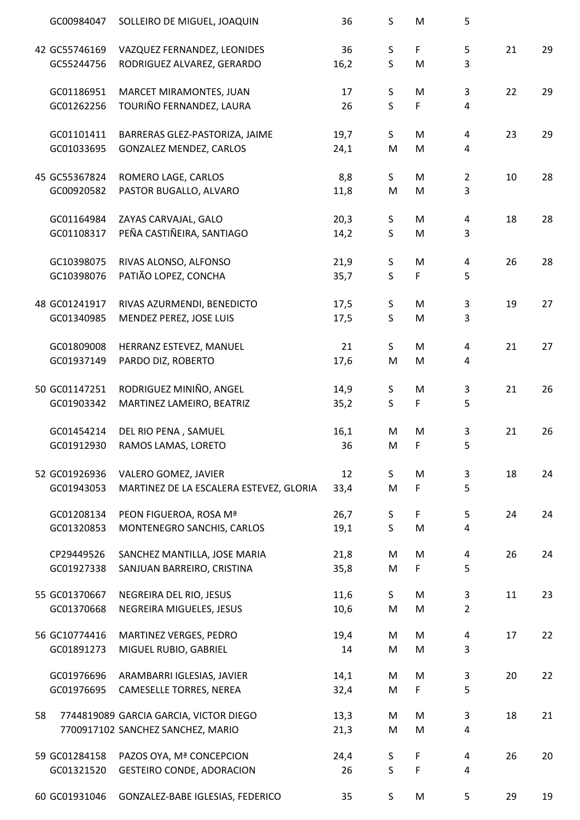|    | GC00984047    | SOLLEIRO DE MIGUEL, JOAQUIN             | 36   | S            | M  | 5              |    |    |
|----|---------------|-----------------------------------------|------|--------------|----|----------------|----|----|
|    | 42 GC55746169 | VAZQUEZ FERNANDEZ, LEONIDES             | 36   | $\sf S$      | F  | 5              | 21 | 29 |
|    | GC55244756    | RODRIGUEZ ALVAREZ, GERARDO              | 16,2 | $\sf S$      | M  | 3              |    |    |
|    | GC01186951    | MARCET MIRAMONTES, JUAN                 | 17   | $\sf S$      | M  | 3              | 22 | 29 |
|    | GC01262256    | TOURIÑO FERNANDEZ, LAURA                | 26   | $\mathsf{S}$ | F  | 4              |    |    |
|    | GC01101411    | BARRERAS GLEZ-PASTORIZA, JAIME          | 19,7 | S.           | M  | 4              | 23 | 29 |
|    | GC01033695    | GONZALEZ MENDEZ, CARLOS                 | 24,1 | M            | M  | 4              |    |    |
|    | 45 GC55367824 | ROMERO LAGE, CARLOS                     | 8,8  | S            | M  | $\overline{2}$ | 10 | 28 |
|    | GC00920582    | PASTOR BUGALLO, ALVARO                  | 11,8 | M            | M  | 3              |    |    |
|    | GC01164984    | ZAYAS CARVAJAL, GALO                    | 20,3 | $\sf S$      | M  | 4              | 18 | 28 |
|    | GC01108317    | PEÑA CASTIÑEIRA, SANTIAGO               | 14,2 | $\mathsf{S}$ | M  | 3              |    |    |
|    | GC10398075    | RIVAS ALONSO, ALFONSO                   | 21,9 | $\mathsf S$  | M  | 4              | 26 | 28 |
|    | GC10398076    | PATIÃO LOPEZ, CONCHA                    | 35,7 | $\mathsf{S}$ | F. | 5              |    |    |
|    | 48 GC01241917 | RIVAS AZURMENDI, BENEDICTO              | 17,5 | $\sf S$      | M  | 3              | 19 | 27 |
|    | GC01340985    | MENDEZ PEREZ, JOSE LUIS                 | 17,5 | $\sf S$      | M  | 3              |    |    |
|    | GC01809008    | HERRANZ ESTEVEZ, MANUEL                 | 21   | $\mathsf{S}$ | M  | $\overline{a}$ | 21 | 27 |
|    | GC01937149    | PARDO DIZ, ROBERTO                      | 17,6 | M            | M  | 4              |    |    |
|    | 50 GC01147251 | RODRIGUEZ MINIÑO, ANGEL                 | 14,9 | S            | M  | 3              | 21 | 26 |
|    | GC01903342    | MARTINEZ LAMEIRO, BEATRIZ               | 35,2 | $\mathsf{S}$ | F  | 5              |    |    |
|    | GC01454214    | DEL RIO PENA, SAMUEL                    | 16,1 | M            | M  | 3              | 21 | 26 |
|    | GC01912930    | RAMOS LAMAS, LORETO                     | 36   | M            | F  | 5              |    |    |
|    | 52 GC01926936 | VALERO GOMEZ, JAVIER                    | 12   | S            | M  | 3              | 18 | 24 |
|    | GC01943053    | MARTINEZ DE LA ESCALERA ESTEVEZ, GLORIA | 33,4 | M            | F  | 5              |    |    |
|    | GC01208134    | PEON FIGUEROA, ROSA Mª                  | 26,7 | S            | F  | 5              | 24 | 24 |
|    | GC01320853    | MONTENEGRO SANCHIS, CARLOS              | 19,1 | $\mathsf{S}$ | M  | 4              |    |    |
|    | CP29449526    | SANCHEZ MANTILLA, JOSE MARIA            | 21,8 | M            | M  | 4              | 26 | 24 |
|    | GC01927338    | SANJUAN BARREIRO, CRISTINA              | 35,8 | M            | F  | 5              |    |    |
|    | 55 GC01370667 | NEGREIRA DEL RIO, JESUS                 | 11,6 | S.           | M  | 3              | 11 | 23 |
|    | GC01370668    | NEGREIRA MIGUELES, JESUS                | 10,6 | M            | M  | $\overline{2}$ |    |    |
|    | 56 GC10774416 | MARTINEZ VERGES, PEDRO                  | 19,4 | M            | M  | 4              | 17 | 22 |
|    | GC01891273    | MIGUEL RUBIO, GABRIEL                   | 14   | M            | M  | 3              |    |    |
|    | GC01976696    | ARAMBARRI IGLESIAS, JAVIER              | 14,1 | M            | M  | 3              | 20 | 22 |
|    | GC01976695    | CAMESELLE TORRES, NEREA                 | 32,4 | M            | F. | 5              |    |    |
| 58 |               | 7744819089 GARCIA GARCIA, VICTOR DIEGO  | 13,3 | M            | M  | 3              | 18 | 21 |
|    |               | 7700917102 SANCHEZ SANCHEZ, MARIO       | 21,3 | M            | M  | 4              |    |    |
|    | 59 GC01284158 | PAZOS OYA, Mª CONCEPCION                | 24,4 | S            | F. | 4              | 26 | 20 |
|    | GC01321520    | <b>GESTEIRO CONDE, ADORACION</b>        | 26   | <sub>S</sub> | F  | 4              |    |    |
|    | 60 GC01931046 | GONZALEZ-BABE IGLESIAS, FEDERICO        | 35   | S            | M  | 5              | 29 | 19 |